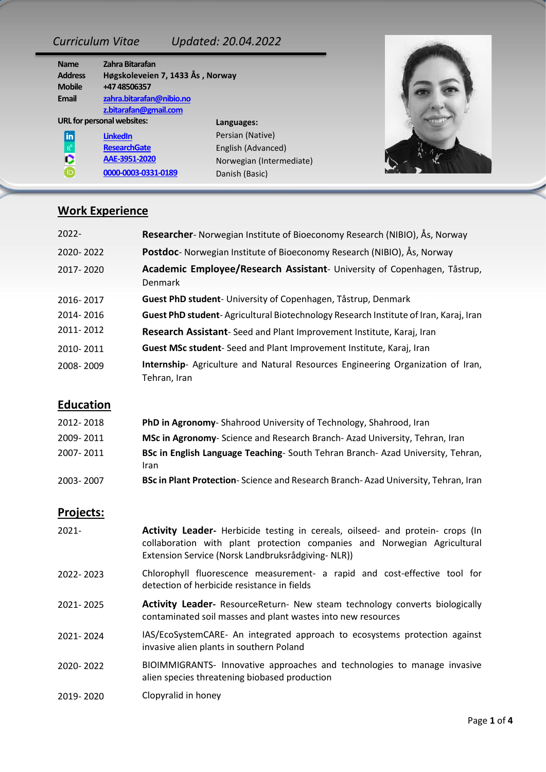## *Curriculum Vitae Updated: 20.04.2022*

| <b>Name</b><br><b>Address</b><br><b>Mobile</b><br>Email | Zahra Bitarafan<br>Høgskoleveien 7, 1433 Ås, Norway<br>+47 48506357<br>zahra.bitarafan@nibio.no<br>z.bitarafan@gmail.com |                          |  |
|---------------------------------------------------------|--------------------------------------------------------------------------------------------------------------------------|--------------------------|--|
| <b>URL for personal websites:</b>                       |                                                                                                                          | Languages:               |  |
| $  \mathsf{in}$                                         | <b>LinkedIn</b>                                                                                                          | Persian (Native)         |  |
| R <sub>e</sub>                                          | <b>ResearchGate</b>                                                                                                      | English (Advanced)       |  |
| ¢                                                       | AAE-3951-2020                                                                                                            | Norwegian (Intermediate) |  |
|                                                         | 0000-0003-0331-0189                                                                                                      | Danish (Basic)           |  |

# **Work Experience**

| 2022-            | Researcher- Norwegian Institute of Bioeconomy Research (NIBIO), As, Norway                                                                                                                                      |
|------------------|-----------------------------------------------------------------------------------------------------------------------------------------------------------------------------------------------------------------|
| 2020-2022        | <b>Postdoc</b> - Norwegian Institute of Bioeconomy Research (NIBIO), As, Norway                                                                                                                                 |
| 2017-2020        | Academic Employee/Research Assistant- University of Copenhagen, Tåstrup,<br><b>Denmark</b>                                                                                                                      |
| 2016-2017        | Guest PhD student- University of Copenhagen, Tåstrup, Denmark                                                                                                                                                   |
| 2014-2016        | Guest PhD student-Agricultural Biotechnology Research Institute of Iran, Karaj, Iran                                                                                                                            |
| 2011-2012        | Research Assistant-Seed and Plant Improvement Institute, Karaj, Iran                                                                                                                                            |
| 2010-2011        | Guest MSc student- Seed and Plant Improvement Institute, Karaj, Iran                                                                                                                                            |
| 2008-2009        | Internship- Agriculture and Natural Resources Engineering Organization of Iran,<br>Tehran, Iran                                                                                                                 |
| <b>Education</b> |                                                                                                                                                                                                                 |
| 2012-2018        | PhD in Agronomy-Shahrood University of Technology, Shahrood, Iran                                                                                                                                               |
| 2009-2011        | MSc in Agronomy- Science and Research Branch- Azad University, Tehran, Iran                                                                                                                                     |
| 2007-2011        | BSc in English Language Teaching- South Tehran Branch-Azad University, Tehran,<br>Iran                                                                                                                          |
| 2003-2007        | BSc in Plant Protection-Science and Research Branch-Azad University, Tehran, Iran                                                                                                                               |
| <u>Projects:</u> |                                                                                                                                                                                                                 |
| $2021 -$         | Activity Leader- Herbicide testing in cereals, oilseed- and protein- crops (In<br>collaboration with plant protection companies and Norwegian Agricultural<br>Extension Service (Norsk Landbruksrådgiving-NLR)) |
| 2022-2023        | Chlorophyll fluorescence measurement- a rapid and cost-effective tool for<br>detection of herbicide resistance in fields                                                                                        |
| 2021-2025        | <b>Activity Leader-</b> ResourceReturn- New steam technology converts biologically<br>contaminated soil masses and plant wastes into new resources                                                              |
| 2021-2024        | IAS/EcoSystemCARE- An integrated approach to ecosystems protection against<br>invasive alien plants in southern Poland                                                                                          |
|                  |                                                                                                                                                                                                                 |
| 2020-2022        | BIOIMMIGRANTS- Innovative approaches and technologies to manage invasive<br>alien species threatening biobased production                                                                                       |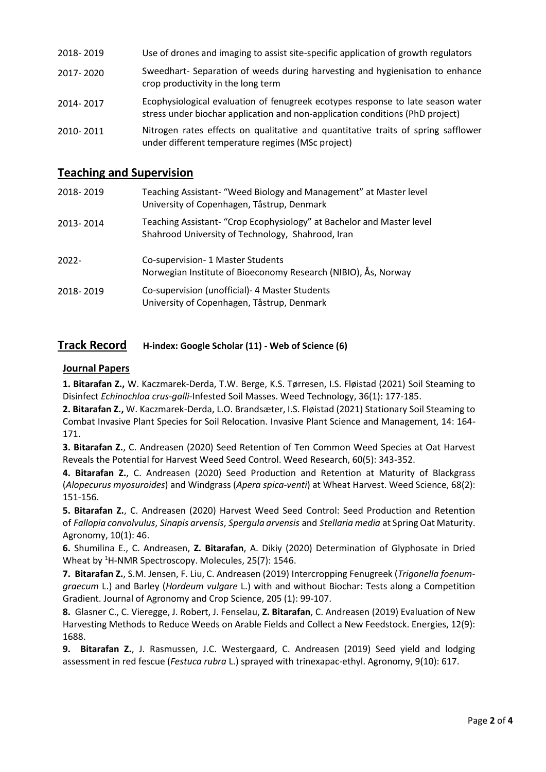| 2018-2019 | Use of drones and imaging to assist site-specific application of growth regulators                                                                               |
|-----------|------------------------------------------------------------------------------------------------------------------------------------------------------------------|
| 2017-2020 | Sweedhart- Separation of weeds during harvesting and hygienisation to enhance<br>crop productivity in the long term                                              |
| 2014-2017 | Ecophysiological evaluation of fenugreek ecotypes response to late season water<br>stress under biochar application and non-application conditions (PhD project) |
| 2010-2011 | Nitrogen rates effects on qualitative and quantitative traits of spring safflower<br>under different temperature regimes (MSc project)                           |

## **Teaching and Supervision**

| 2018-2019  | Teaching Assistant- "Weed Biology and Management" at Master level<br>University of Copenhagen, Tåstrup, Denmark            |
|------------|----------------------------------------------------------------------------------------------------------------------------|
| 2013- 2014 | Teaching Assistant- "Crop Ecophysiology" at Bachelor and Master level<br>Shahrood University of Technology, Shahrood, Iran |
| 2022-      | Co-supervision-1 Master Students<br>Norwegian Institute of Bioeconomy Research (NIBIO), Ås, Norway                         |
| 2018- 2019 | Co-supervision (unofficial) - 4 Master Students<br>University of Copenhagen, Tåstrup, Denmark                              |

## **Track Record H-index: Google Scholar (11) - Web of Science (6)**

### 1. **Journal Papers**

2. **1. Bitarafan Z.,** W. Kaczmarek-Derda, T.W. Berge, K.S. Tørresen, I.S. Fløistad (2021) Soil Steaming to Disinfect *Echinochloa crus*-*galli*-Infested Soil Masses. Weed Technology, 36(1): 177-185.

3. **2. Bitarafan Z.,** W. Kaczmarek-Derda, L.O. Brandsæter, I.S. Fløistad (2021) Stationary Soil Steaming to Combat Invasive Plant Species for Soil Relocation. Invasive Plant Science and Management, 14: 164- 171.

4. **3. Bitarafan Z.**, C. Andreasen (2020) Seed Retention of Ten Common Weed Species at Oat Harvest Reveals the Potential for Harvest Weed Seed Control. Weed Research, 60(5): 343-352.

5. **4. Bitarafan Z.**, C. Andreasen (2020) Seed Production and Retention at Maturity of Blackgrass (*Alopecurus myosuroides*) and Windgrass (*Apera spica-venti*) at Wheat Harvest. Weed Science, 68(2): 151-156.

6. **5. Bitarafan Z.**, C. Andreasen (2020) Harvest Weed Seed Control: Seed Production and Retention of *Fallopia convolvulus*, *Sinapis arvensis*, *Spergula arvensis* and *Stellaria media* at Spring Oat Maturity. Agronomy, 10(1): 46.

7. **6.** Shumilina E., C. Andreasen, **Z. Bitarafan**, A. Dikiy (2020) Determination of Glyphosate in Dried Wheat by <sup>1</sup>H-NMR Spectroscopy. Molecules, 25(7): 1546.

8. **7. Bitarafan Z.**, S.M. Jensen, F. Liu, C. Andreasen (2019) Intercropping Fenugreek (*Trigonella foenumgraecum* L.) and Barley (*Hordeum vulgare* L.) with and without Biochar: Tests along a Competition Gradient. Journal of Agronomy and Crop Science, 205 (1): 99-107.

9. **8.** Glasner C., C. Vieregge, J. Robert, J. Fenselau, **Z. Bitarafan**, C. Andreasen (2019) Evaluation of New Harvesting Methods to Reduce Weeds on Arable Fields and Collect a New Feedstock. Energies, 12(9): 1688.

**9. Bitarafan Z.**, J. Rasmussen, J.C. Westergaard, C. Andreasen (2019) Seed yield and lodging assessment in red fescue (*Festuca rubra* L.) sprayed with trinexapac-ethyl. Agronomy, 9(10): 617.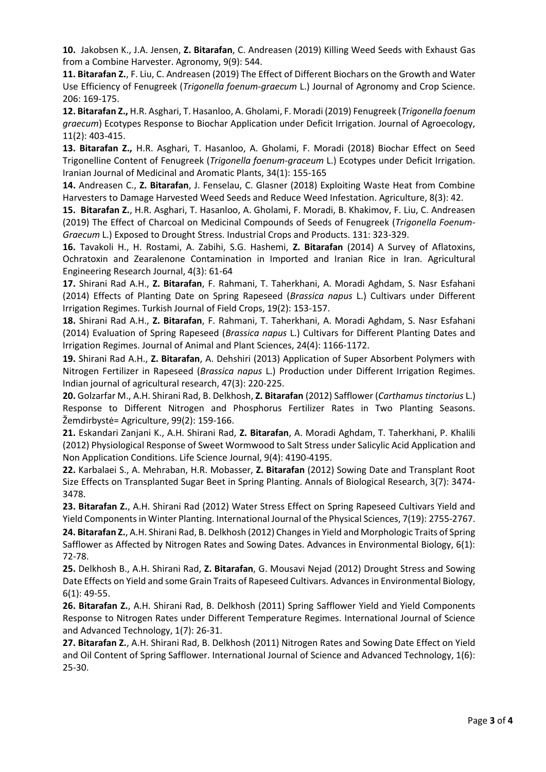**10.** Jakobsen K., J.A. Jensen, **Z. Bitarafan**, C. Andreasen (2019) Killing Weed Seeds with Exhaust Gas from a Combine Harvester. Agronomy, 9(9): 544.

**11. Bitarafan Z.**, F. Liu, C. Andreasen (2019) The Effect of Different Biochars on the Growth and Water Use Efficiency of Fenugreek (*Trigonella foenum-graecum* L.) Journal of Agronomy and Crop Science. 206: 169-175.

**12. Bitarafan Z.,** H.R. Asghari, T. Hasanloo, A. Gholami, F. Moradi (2019) Fenugreek (*Trigonella foenum graecum*) Ecotypes Response to Biochar Application under Deficit Irrigation. Journal of Agroecology, 11(2): 403-415.

**13. Bitarafan Z.,** H.R. Asghari, T. Hasanloo, A. Gholami, F. Moradi (2018) Biochar Effect on Seed Trigonelline Content of Fenugreek (*Trigonella foenum-graceum* L.) Ecotypes under Deficit Irrigation. Iranian Journal of Medicinal and Aromatic Plants, 34(1): 155-165

**14.** Andreasen C., **Z. Bitarafan**, J. Fenselau, C. Glasner (2018) Exploiting Waste Heat from Combine Harvesters to Damage Harvested Weed Seeds and Reduce Weed Infestation. Agriculture, 8(3): 42.

**15. Bitarafan Z.**, H.R. Asghari, T. Hasanloo, A. Gholami, F. Moradi, B. Khakimov, F. Liu, C. Andreasen (2019) The Effect of Charcoal on Medicinal Compounds of Seeds of Fenugreek (*Trigonella Foenum-Graecum* L.) Exposed to Drought Stress. Industrial Crops and Products. 131: 323-329.

**16.** Tavakoli H., H. Rostami, A. Zabihi, S.G. Hashemi, **Z. Bitarafan** (2014) A Survey of Aflatoxins, Ochratoxin and Zearalenone Contamination in Imported and Iranian Rice in Iran. Agricultural Engineering Research Journal, 4(3): 61-64

**17.** Shirani Rad A.H., **Z. Bitarafan**, F. Rahmani, T. Taherkhani, A. Moradi Aghdam, S. Nasr Esfahani (2014) Effects of Planting Date on Spring Rapeseed (*Brassica napus* L.) Cultivars under Different Irrigation Regimes. Turkish Journal of Field Crops, 19(2): 153-157.

**18.** Shirani Rad A.H., **Z. Bitarafan**, F. Rahmani, T. Taherkhani, A. Moradi Aghdam, S. Nasr Esfahani (2014) Evaluation of Spring Rapeseed (*Brassica napus* L.) Cultivars for Different Planting Dates and Irrigation Regimes. Journal of Animal and Plant Sciences, 24(4): 1166-1172.

**19.** Shirani Rad A.H., **Z. Bitarafan**, A. Dehshiri (2013) Application of Super Absorbent Polymers with Nitrogen Fertilizer in Rapeseed (*Brassica napus* L.) Production under Different Irrigation Regimes. Indian journal of agricultural research, 47(3): 220-225.

**20.** Golzarfar M., A.H. Shirani Rad, B. Delkhosh, **Z. Bitarafan** (2012) Safflower (*Carthamus tinctorius* L.) Response to Different Nitrogen and Phosphorus Fertilizer Rates in Two Planting Seasons. Žemdirbystė= Agriculture, 99(2): 159-166.

**21.** Eskandari Zanjani K., A.H. Shirani Rad, **Z. Bitarafan**, A. Moradi Aghdam, T. Taherkhani, P. Khalili (2012) Physiological Response of Sweet Wormwood to Salt Stress under Salicylic Acid Application and Non Application Conditions. Life Science Journal, 9(4): 4190-4195.

**22.** Karbalaei S., A. Mehraban, H.R. Mobasser, **Z. Bitarafan** (2012) Sowing Date and Transplant Root Size Effects on Transplanted Sugar Beet in Spring Planting. Annals of Biological Research, 3(7): 3474- 3478.

**23. Bitarafan Z.**, A.H. Shirani Rad (2012) Water Stress Effect on Spring Rapeseed Cultivars Yield and Yield Components in Winter Planting. International Journal of the Physical Sciences, 7(19): 2755-2767.

**24. Bitarafan Z.**, A.H. Shirani Rad, B. Delkhosh (2012) Changes in Yield and Morphologic Traits of Spring Safflower as Affected by Nitrogen Rates and Sowing Dates. Advances in Environmental Biology, 6(1): 72-78.

**25.** Delkhosh B., A.H. Shirani Rad, **Z. Bitarafan**, G. Mousavi Nejad (2012) Drought Stress and Sowing Date Effects on Yield and some Grain Traits of Rapeseed Cultivars. Advances in Environmental Biology, 6(1): 49-55.

**26. Bitarafan Z.**, A.H. Shirani Rad, B. Delkhosh (2011) Spring Safflower Yield and Yield Components Response to Nitrogen Rates under Different Temperature Regimes. International Journal of Science and Advanced Technology, 1(7): 26-31.

**27. Bitarafan Z.**, A.H. Shirani Rad, B. Delkhosh (2011) Nitrogen Rates and Sowing Date Effect on Yield and Oil Content of Spring Safflower. International Journal of Science and Advanced Technology, 1(6): 25-30.